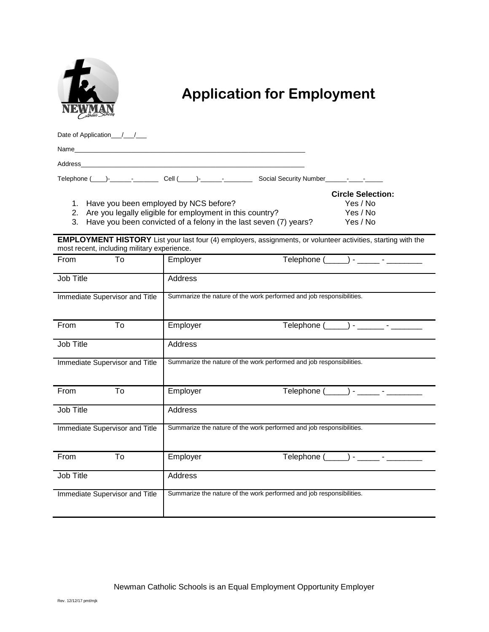

## **Application for Employment**

Date of Application\_/\_/\_\_/

| N۵<br> |  |  |  |
|--------|--|--|--|
|        |  |  |  |

Address\_\_\_\_\_\_\_\_\_\_\_\_\_\_\_\_\_\_\_\_\_\_\_\_\_\_\_\_\_\_\_\_\_\_\_\_\_\_\_\_\_\_\_\_\_\_\_\_\_\_\_\_\_\_\_\_\_\_\_\_\_\_\_

Telephone  $(\_\_\_\_\_\_\_$ 

| 1. Have you been employed by NCS before? | Yes / No |
|------------------------------------------|----------|

 **Circle Selection:** 2. Are you legally eligible for employment in this country? Yes / No

3. Have you been convicted of a felony in the last seven (7) years? Yes / No

**EMPLOYMENT HISTORY** List your last four (4) employers, assignments, or volunteer activities, starting with the most recent, including military experience.

| To<br>From                     | Employer<br>Telephone (______) - ______ - _________                  |  |  |
|--------------------------------|----------------------------------------------------------------------|--|--|
| Job Title                      | Address                                                              |  |  |
| Immediate Supervisor and Title | Summarize the nature of the work performed and job responsibilities. |  |  |
| To<br>From                     | Employer                                                             |  |  |
| Job Title                      | Address                                                              |  |  |
| Immediate Supervisor and Title | Summarize the nature of the work performed and job responsibilities. |  |  |
| To<br>From                     | Telephone (_____) - _____ - ________<br>Employer                     |  |  |
| Job Title                      | Address                                                              |  |  |
| Immediate Supervisor and Title | Summarize the nature of the work performed and job responsibilities. |  |  |
| From<br>To                     | Telephone (______) - ______ - __________<br>Employer                 |  |  |
| Job Title                      | Address                                                              |  |  |
| Immediate Supervisor and Title | Summarize the nature of the work performed and job responsibilities. |  |  |